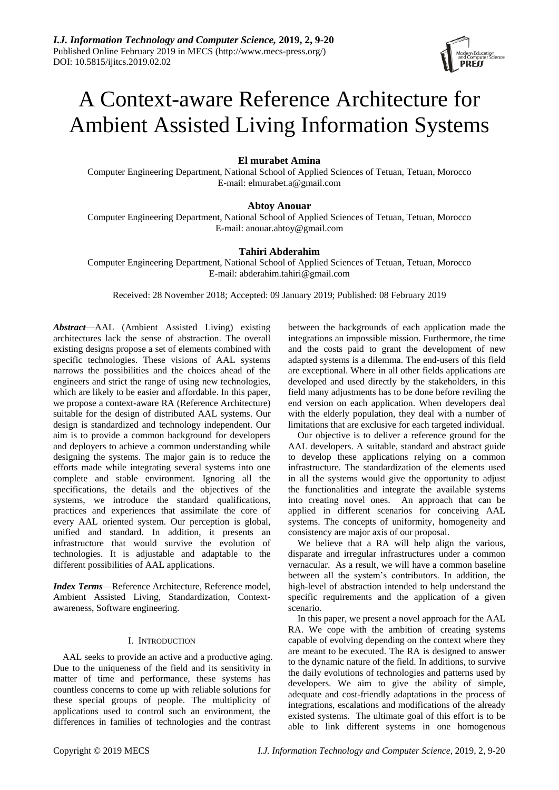

# A Context-aware Reference Architecture for Ambient Assisted Living Information Systems

# **El murabet Amina**

Computer Engineering Department, National School of Applied Sciences of Tetuan, Tetuan, Morocco E-mail: elmurabet.a@gmail.com

# **Abtoy Anouar**

Computer Engineering Department, National School of Applied Sciences of Tetuan, Tetuan, Morocco E-mail: anouar.abtoy@gmail.com

# **Tahiri Abderahim**

Computer Engineering Department, National School of Applied Sciences of Tetuan, Tetuan, Morocco E-mail: abderahim.tahiri@gmail.com

Received: 28 November 2018; Accepted: 09 January 2019; Published: 08 February 2019

*Abstract*—AAL (Ambient Assisted Living) existing architectures lack the sense of abstraction. The overall existing designs propose a set of elements combined with specific technologies. These visions of AAL systems narrows the possibilities and the choices ahead of the engineers and strict the range of using new technologies, which are likely to be easier and affordable. In this paper, we propose a context-aware RA (Reference Architecture) suitable for the design of distributed AAL systems. Our design is standardized and technology independent. Our aim is to provide a common background for developers and deployers to achieve a common understanding while designing the systems. The major gain is to reduce the efforts made while integrating several systems into one complete and stable environment. Ignoring all the specifications, the details and the objectives of the systems, we introduce the standard qualifications, practices and experiences that assimilate the core of every AAL oriented system. Our perception is global, unified and standard. In addition, it presents an infrastructure that would survive the evolution of technologies. It is adjustable and adaptable to the different possibilities of AAL applications.

*Index Terms*—Reference Architecture, Reference model, Ambient Assisted Living, Standardization, Contextawareness, Software engineering.

# I. INTRODUCTION

AAL seeks to provide an active and a productive aging. Due to the uniqueness of the field and its sensitivity in matter of time and performance, these systems has countless concerns to come up with reliable solutions for these special groups of people. The multiplicity of applications used to control such an environment, the differences in families of technologies and the contrast

between the backgrounds of each application made the integrations an impossible mission. Furthermore, the time and the costs paid to grant the development of new adapted systems is a dilemma. The end-users of this field are exceptional. Where in all other fields applications are developed and used directly by the stakeholders, in this field many adjustments has to be done before reviling the end version on each application. When developers deal with the elderly population, they deal with a number of limitations that are exclusive for each targeted individual.

Our objective is to deliver a reference ground for the AAL developers. A suitable, standard and abstract guide to develop these applications relying on a common infrastructure. The standardization of the elements used in all the systems would give the opportunity to adjust the functionalities and integrate the available systems into creating novel ones. An approach that can be applied in different scenarios for conceiving AAL systems. The concepts of uniformity, homogeneity and consistency are major axis of our proposal.

We believe that a RA will help align the various, disparate and irregular infrastructures under a common vernacular. As a result, we will have a common baseline between all the system's contributors. In addition, the high-level of abstraction intended to help understand the specific requirements and the application of a given scenario.

In this paper, we present a novel approach for the AAL RA. We cope with the ambition of creating systems capable of evolving depending on the context where they are meant to be executed. The RA is designed to answer to the dynamic nature of the field. In additions, to survive the daily evolutions of technologies and patterns used by developers. We aim to give the ability of simple, adequate and cost-friendly adaptations in the process of integrations, escalations and modifications of the already existed systems. The ultimate goal of this effort is to be able to link different systems in one homogenous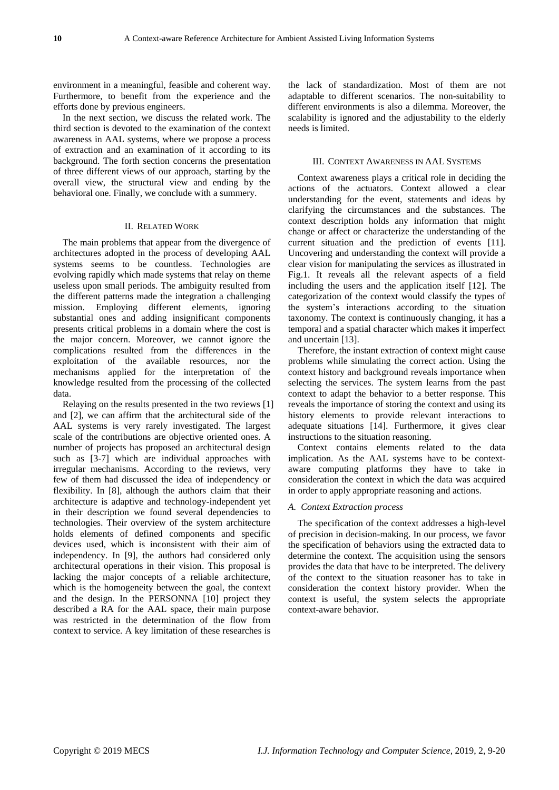environment in a meaningful, feasible and coherent way. Furthermore, to benefit from the experience and the efforts done by previous engineers.

In the next section, we discuss the related work. The third section is devoted to the examination of the context awareness in AAL systems, where we propose a process of extraction and an examination of it according to its background. The forth section concerns the presentation of three different views of our approach, starting by the overall view, the structural view and ending by the behavioral one. Finally, we conclude with a summery.

#### II. RELATED WORK

The main problems that appear from the divergence of architectures adopted in the process of developing AAL systems seems to be countless. Technologies are evolving rapidly which made systems that relay on theme useless upon small periods. The ambiguity resulted from the different patterns made the integration a challenging mission. Employing different elements, ignoring substantial ones and adding insignificant components presents critical problems in a domain where the cost is the major concern. Moreover, we cannot ignore the complications resulted from the differences in the exploitation of the available resources, nor the mechanisms applied for the interpretation of the knowledge resulted from the processing of the collected data.

Relaying on the results presented in the two reviews [1] and [2], we can affirm that the architectural side of the AAL systems is very rarely investigated. The largest scale of the contributions are objective oriented ones. A number of projects has proposed an architectural design such as [3-7] which are individual approaches with irregular mechanisms. According to the reviews, very few of them had discussed the idea of independency or flexibility. In [8], although the authors claim that their architecture is adaptive and technology-independent yet in their description we found several dependencies to technologies. Their overview of the system architecture holds elements of defined components and specific devices used, which is inconsistent with their aim of independency. In [9], the authors had considered only architectural operations in their vision. This proposal is lacking the major concepts of a reliable architecture, which is the homogeneity between the goal, the context and the design. In the PERSONNA [10] project they described a RA for the AAL space, their main purpose was restricted in the determination of the flow from context to service. A key limitation of these researches is

the lack of standardization. Most of them are not adaptable to different scenarios. The non-suitability to different environments is also a dilemma. Moreover, the scalability is ignored and the adjustability to the elderly needs is limited.

#### III. CONTEXT AWARENESS IN AAL SYSTEMS

Context awareness plays a critical role in deciding the actions of the actuators. Context allowed a clear understanding for the event, statements and ideas by clarifying the circumstances and the substances. The context description holds any information that might change or affect or characterize the understanding of the current situation and the prediction of events [11]. Uncovering and understanding the context will provide a clear vision for manipulating the services as illustrated in [Fig.1.](#page-2-0) It reveals all the relevant aspects of a field including the users and the application itself [12]. The categorization of the context would classify the types of the system's interactions according to the situation taxonomy. The context is continuously changing, it has a temporal and a spatial character which makes it imperfect and uncertain [13].

Therefore, the instant extraction of context might cause problems while simulating the correct action. Using the context history and background reveals importance when selecting the services. The system learns from the past context to adapt the behavior to a better response. This reveals the importance of storing the context and using its history elements to provide relevant interactions to adequate situations [14]. Furthermore, it gives clear instructions to the situation reasoning.

Context contains elements related to the data implication. As the AAL systems have to be contextaware computing platforms they have to take in consideration the context in which the data was acquired in order to apply appropriate reasoning and actions.

#### *A. Context Extraction process*

The specification of the context addresses a high-level of precision in decision-making. In our process, we favor the specification of behaviors using the extracted data to determine the context. The acquisition using the sensors provides the data that have to be interpreted. The delivery of the context to the situation reasoner has to take in consideration the context history provider. When the context is useful, the system selects the appropriate context-aware behavior.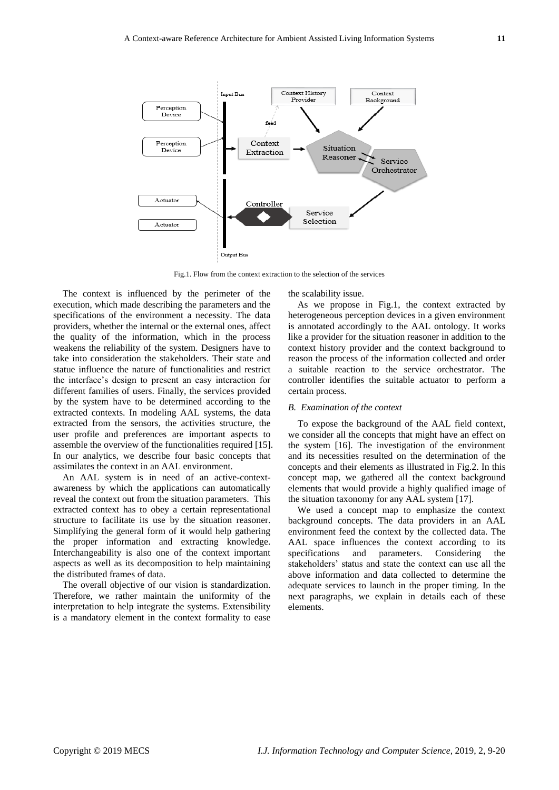

Fig.1. Flow from the context extraction to the selection of the services

<span id="page-2-0"></span>The context is influenced by the perimeter of the execution, which made describing the parameters and the specifications of the environment a necessity. The data providers, whether the internal or the external ones, affect the quality of the information, which in the process weakens the reliability of the system. Designers have to take into consideration the stakeholders. Their state and statue influence the nature of functionalities and restrict the interface's design to present an easy interaction for different families of users. Finally, the services provided by the system have to be determined according to the extracted contexts. In modeling AAL systems, the data extracted from the sensors, the activities structure, the user profile and preferences are important aspects to assemble the overview of the functionalities required [15]. In our analytics, we describe four basic concepts that assimilates the context in an AAL environment.

An AAL system is in need of an active-contextawareness by which the applications can automatically reveal the context out from the situation parameters. This extracted context has to obey a certain representational structure to facilitate its use by the situation reasoner. Simplifying the general form of it would help gathering the proper information and extracting knowledge. Interchangeability is also one of the context important aspects as well as its decomposition to help maintaining the distributed frames of data.

The overall objective of our vision is standardization. Therefore, we rather maintain the uniformity of the interpretation to help integrate the systems. Extensibility is a mandatory element in the context formality to ease

the scalability issue.

As we propose in [Fig.1,](#page-2-0) the context extracted by heterogeneous perception devices in a given environment is annotated accordingly to the AAL ontology. It works like a provider for the situation reasoner in addition to the context history provider and the context background to reason the process of the information collected and order a suitable reaction to the service orchestrator. The controller identifies the suitable actuator to perform a certain process.

#### *B. Examination of the context*

To expose the background of the AAL field context, we consider all the concepts that might have an effect on the system [16]. The investigation of the environment and its necessities resulted on the determination of the concepts and their elements as illustrated in [Fig.2.](#page-3-0) In this concept map, we gathered all the context background elements that would provide a highly qualified image of the situation taxonomy for any AAL system [17].

We used a concept map to emphasize the context background concepts. The data providers in an AAL environment feed the context by the collected data. The AAL space influences the context according to its specifications and parameters. Considering the stakeholders' status and state the context can use all the above information and data collected to determine the adequate services to launch in the proper timing. In the next paragraphs, we explain in details each of these elements.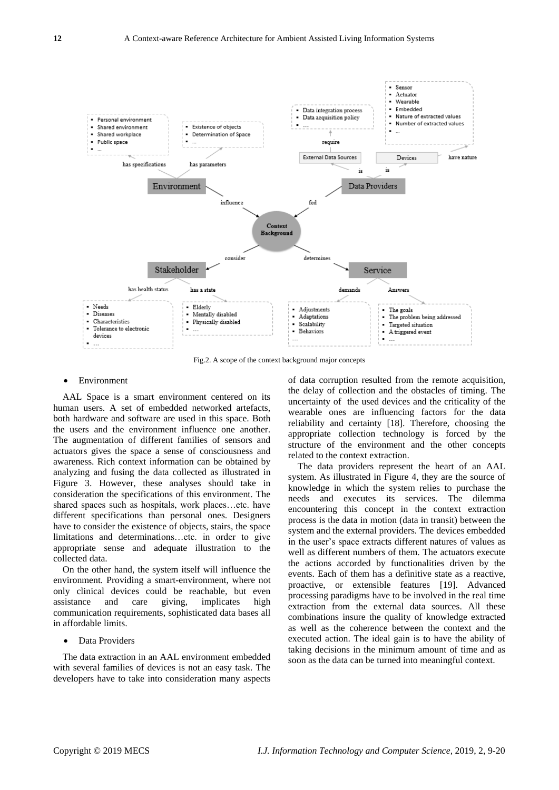

Fig.2. A scope of the context background major concepts

#### <span id="page-3-0"></span>Environment

AAL Space is a smart environment centered on its human users. A set of embedded networked artefacts, both hardware and software are used in this space. Both the users and the environment influence one another. The augmentation of different families of sensors and actuators gives the space a sense of consciousness and awareness. Rich context information can be obtained by analyzing and fusing the data collected as illustrated in Figure 3. However, these analyses should take in consideration the specifications of this environment. The shared spaces such as hospitals, work places…etc. have different specifications than personal ones. Designers have to consider the existence of objects, stairs, the space limitations and determinations…etc. in order to give appropriate sense and adequate illustration to the collected data.

On the other hand, the system itself will influence the environment. Providing a smart-environment, where not only clinical devices could be reachable, but even assistance and care giving, implicates high communication requirements, sophisticated data bases all in affordable limits.

# Data Providers

The data extraction in an AAL environment embedded with several families of devices is not an easy task. The developers have to take into consideration many aspects of data corruption resulted from the remote acquisition, the delay of collection and the obstacles of timing. The uncertainty of the used devices and the criticality of the wearable ones are influencing factors for the data reliability and certainty [18]. Therefore, choosing the appropriate collection technology is forced by the structure of the environment and the other concepts related to the context extraction.

The data providers represent the heart of an AAL system. As illustrated in Figure 4, they are the source of knowledge in which the system relies to purchase the needs and executes its services. The dilemma encountering this concept in the context extraction process is the data in motion (data in transit) between the system and the external providers. The devices embedded in the user's space extracts different natures of values as well as different numbers of them. The actuators execute the actions accorded by functionalities driven by the events. Each of them has a definitive state as a reactive, proactive, or extensible features [19]. Advanced processing paradigms have to be involved in the real time extraction from the external data sources. All these combinations insure the quality of knowledge extracted as well as the coherence between the context and the executed action. The ideal gain is to have the ability of taking decisions in the minimum amount of time and as soon as the data can be turned into meaningful context.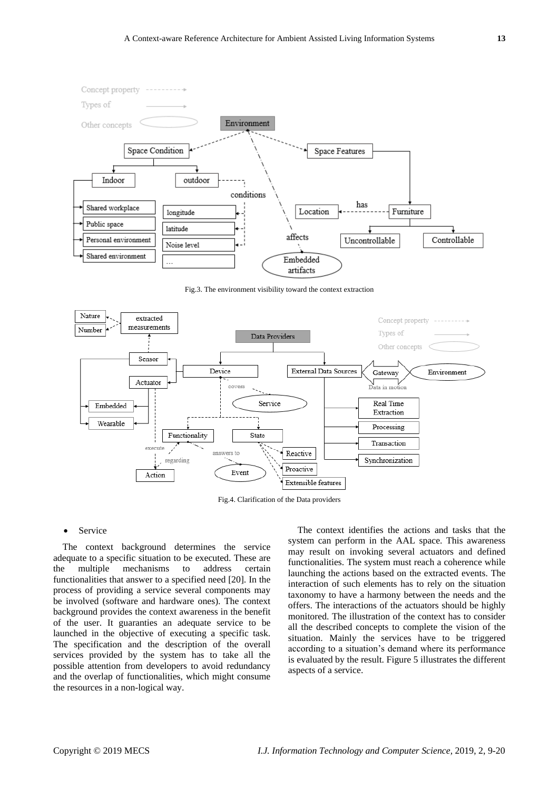

Fig.3. The environment visibility toward the context extraction



Fig.4. Clarification of the Data providers

#### Service

The context background determines the service adequate to a specific situation to be executed. These are the multiple mechanisms to address certain functionalities that answer to a specified need [20]. In the process of providing a service several components may be involved (software and hardware ones). The context background provides the context awareness in the benefit of the user. It guaranties an adequate service to be launched in the objective of executing a specific task. The specification and the description of the overall services provided by the system has to take all the possible attention from developers to avoid redundancy and the overlap of functionalities, which might consume the resources in a non-logical way.

The context identifies the actions and tasks that the system can perform in the AAL space. This awareness may result on invoking several actuators and defined functionalities. The system must reach a coherence while launching the actions based on the extracted events. The interaction of such elements has to rely on the situation taxonomy to have a harmony between the needs and the offers. The interactions of the actuators should be highly monitored. The illustration of the context has to consider all the described concepts to complete the vision of the situation. Mainly the services have to be triggered according to a situation's demand where its performance is evaluated by the result. Figure 5 illustrates the different aspects of a service.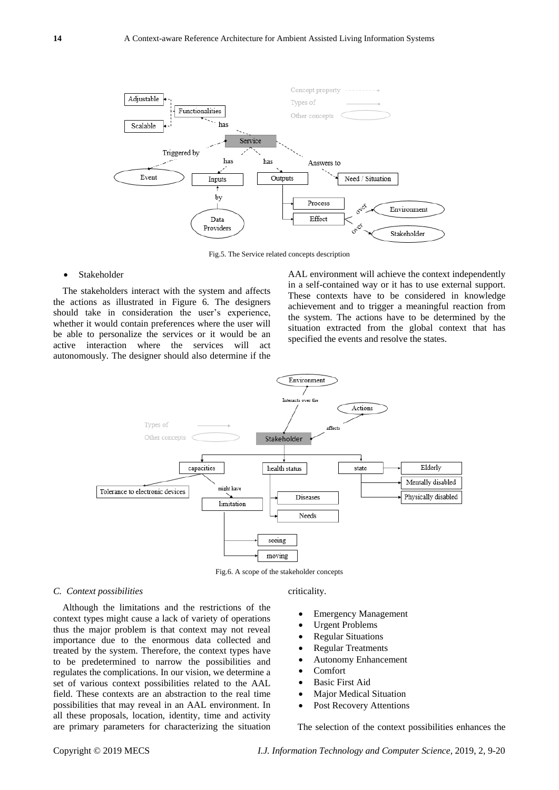

Fig.5. The Service related concepts description

# Stakeholder

The stakeholders interact with the system and affects the actions as illustrated in Figure 6. The designers should take in consideration the user's experience, whether it would contain preferences where the user will be able to personalize the services or it would be an active interaction where the services will act autonomously. The designer should also determine if the

AAL environment will achieve the context independently in a self-contained way or it has to use external support. These contexts have to be considered in knowledge achievement and to trigger a meaningful reaction from the system. The actions have to be determined by the situation extracted from the global context that has specified the events and resolve the states.



Fig.6. A scope of the stakeholder concepts

#### *C. Context possibilities*

Although the limitations and the restrictions of the context types might cause a lack of variety of operations thus the major problem is that context may not reveal importance due to the enormous data collected and treated by the system. Therefore, the context types have to be predetermined to narrow the possibilities and regulates the complications. In our vision, we determine a set of various context possibilities related to the AAL field. These contexts are an abstraction to the real time possibilities that may reveal in an AAL environment. In all these proposals, location, identity, time and activity are primary parameters for characterizing the situation

# criticality.

- Emergency Management
- Urgent Problems
- Regular Situations
- Regular Treatments
- Autonomy Enhancement
- Comfort
- Basic First Aid
- Major Medical Situation
- Post Recovery Attentions

The selection of the context possibilities enhances the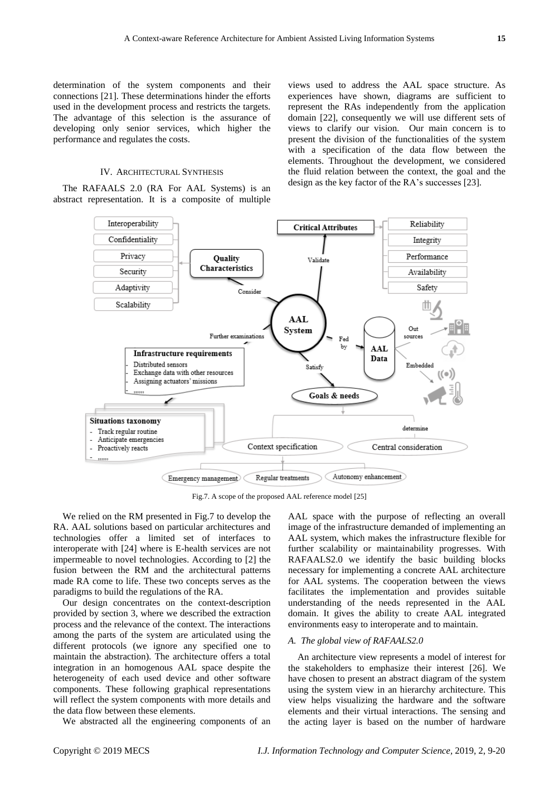determination of the system components and their connections [21]. These determinations hinder the efforts used in the development process and restricts the targets. The advantage of this selection is the assurance of developing only senior services, which higher the performance and regulates the costs.

#### IV. ARCHITECTURAL SYNTHESIS

The RAFAALS 2.0 (RA For AAL Systems) is an abstract representation. It is a composite of multiple views used to address the AAL space structure. As experiences have shown, diagrams are sufficient to represent the RAs independently from the application domain [22], consequently we will use different sets of views to clarify our vision. Our main concern is to present the division of the functionalities of the system with a specification of the data flow between the elements. Throughout the development, we considered the fluid relation between the context, the goal and the design as the key factor of the RA's successes [23].



Fig.7. A scope of the proposed AAL reference model [25]

<span id="page-6-0"></span>We relied on the RM presented in [Fig.7](#page-6-0) to develop the RA. AAL solutions based on particular architectures and technologies offer a limited set of interfaces to interoperate with [24] where is E-health services are not impermeable to novel technologies. According to [2] the fusion between the RM and the architectural patterns made RA come to life. These two concepts serves as the paradigms to build the regulations of the RA.

Our design concentrates on the context-description provided by section 3, where we described the extraction process and the relevance of the context. The interactions among the parts of the system are articulated using the different protocols (we ignore any specified one to maintain the abstraction). The architecture offers a total integration in an homogenous AAL space despite the heterogeneity of each used device and other software components. These following graphical representations will reflect the system components with more details and the data flow between these elements.

We abstracted all the engineering components of an

AAL space with the purpose of reflecting an overall image of the infrastructure demanded of implementing an AAL system, which makes the infrastructure flexible for further scalability or maintainability progresses. With RAFAALS2.0 we identify the basic building blocks necessary for implementing a concrete AAL architecture for AAL systems. The cooperation between the views facilitates the implementation and provides suitable understanding of the needs represented in the AAL domain. It gives the ability to create AAL integrated environments easy to interoperate and to maintain.

# *A. The global view of RAFAALS2.0*

An architecture view represents a model of interest for the stakeholders to emphasize their interest [26]. We have chosen to present an abstract diagram of the system using the system view in an hierarchy architecture. This view helps visualizing the hardware and the software elements and their virtual interactions. The sensing and the acting layer is based on the number of hardware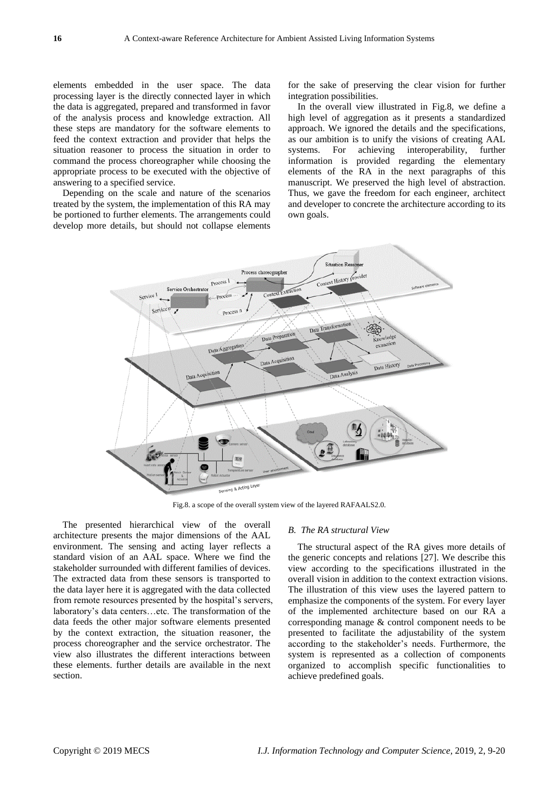elements embedded in the user space. The data processing layer is the directly connected layer in which the data is aggregated, prepared and transformed in favor of the analysis process and knowledge extraction. All these steps are mandatory for the software elements to feed the context extraction and provider that helps the situation reasoner to process the situation in order to command the process choreographer while choosing the appropriate process to be executed with the objective of answering to a specified service.

Depending on the scale and nature of the scenarios treated by the system, the implementation of this RA may be portioned to further elements. The arrangements could develop more details, but should not collapse elements

for the sake of preserving the clear vision for further integration possibilities.

In the overall view illustrated in [Fig.8,](#page-7-0) we define a high level of aggregation as it presents a standardized approach. We ignored the details and the specifications, as our ambition is to unify the visions of creating AAL systems. For achieving interoperability, further information is provided regarding the elementary elements of the RA in the next paragraphs of this manuscript. We preserved the high level of abstraction. Thus, we gave the freedom for each engineer, architect and developer to concrete the architecture according to its own goals.



Fig.8. a scope of the overall system view of the layered RAFAALS2.0.

<span id="page-7-0"></span>The presented hierarchical view of the overall architecture presents the major dimensions of the AAL environment. The sensing and acting layer reflects a standard vision of an AAL space. Where we find the stakeholder surrounded with different families of devices. The extracted data from these sensors is transported to the data layer here it is aggregated with the data collected from remote resources presented by the hospital's servers, laboratory's data centers…etc. The transformation of the data feeds the other major software elements presented by the context extraction, the situation reasoner, the process choreographer and the service orchestrator. The view also illustrates the different interactions between these elements. further details are available in the next section.

#### *B. The RA structural View*

The structural aspect of the RA gives more details of the generic concepts and relations [27]. We describe this view according to the specifications illustrated in the overall vision in addition to the context extraction visions. The illustration of this view uses the layered pattern to emphasize the components of the system. For every layer of the implemented architecture based on our RA a corresponding manage & control component needs to be presented to facilitate the adjustability of the system according to the stakeholder's needs. Furthermore, the system is represented as a collection of components organized to accomplish specific functionalities to achieve predefined goals.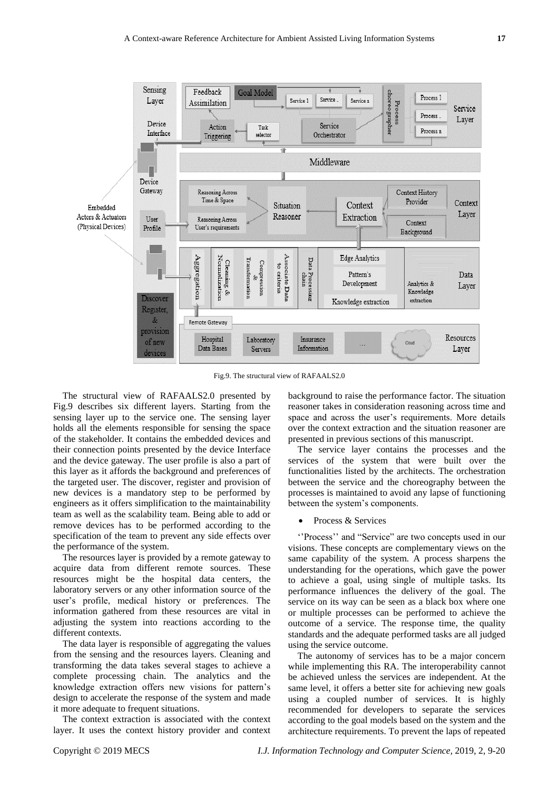

Fig.9. The structural view of RAFAALS2.0

<span id="page-8-0"></span>The structural view of RAFAALS2.0 presented by [Fig.9](#page-8-0) describes six different layers. Starting from the sensing layer up to the service one. The sensing layer holds all the elements responsible for sensing the space of the stakeholder. It contains the embedded devices and their connection points presented by the device Interface and the device gateway. The user profile is also a part of this layer as it affords the background and preferences of the targeted user. The discover, register and provision of new devices is a mandatory step to be performed by engineers as it offers simplification to the maintainability team as well as the scalability team. Being able to add or remove devices has to be performed according to the specification of the team to prevent any side effects over the performance of the system.

The resources layer is provided by a remote gateway to acquire data from different remote sources. These resources might be the hospital data centers, the laboratory servers or any other information source of the user's profile, medical history or preferences. The information gathered from these resources are vital in adjusting the system into reactions according to the different contexts.

The data layer is responsible of aggregating the values from the sensing and the resources layers. Cleaning and transforming the data takes several stages to achieve a complete processing chain. The analytics and the knowledge extraction offers new visions for pattern's design to accelerate the response of the system and made it more adequate to frequent situations.

The context extraction is associated with the context layer. It uses the context history provider and context

background to raise the performance factor. The situation reasoner takes in consideration reasoning across time and space and across the user's requirements. More details over the context extraction and the situation reasoner are presented in previous sections of this manuscript.

The service layer contains the processes and the services of the system that were built over the functionalities listed by the architects. The orchestration between the service and the choreography between the processes is maintained to avoid any lapse of functioning between the system's components.

#### • Process & Services

"Process" and "Service" are two concepts used in our visions. These concepts are complementary views on the same capability of the system. A process sharpens the understanding for the operations, which gave the power to achieve a goal, using single of multiple tasks. Its performance influences the delivery of the goal. The service on its way can be seen as a black box where one or multiple processes can be performed to achieve the outcome of a service. The response time, the quality standards and the adequate performed tasks are all judged using the service outcome.

The autonomy of services has to be a major concern while implementing this RA. The interoperability cannot be achieved unless the services are independent. At the same level, it offers a better site for achieving new goals using a coupled number of services. It is highly recommended for developers to separate the services according to the goal models based on the system and the architecture requirements. To prevent the laps of repeated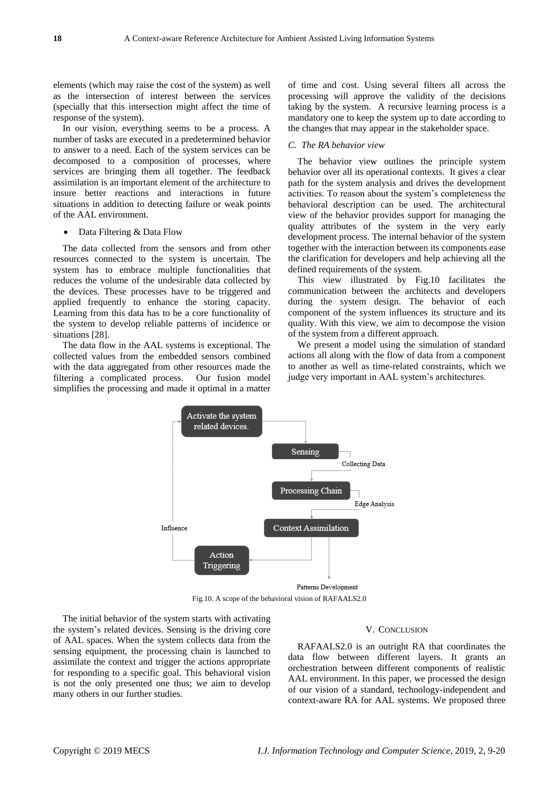elements (which may raise the cost of the system) as well as the intersection of interest between the services (specially that this intersection might affect the time of response of the system).

In our vision, everything seems to be a process. A number of tasks are executed in a predetermined behavior to answer to a need. Each of the system services can be decomposed to a composition of processes, where services are bringing them all together. The feedback assimilation is an important element of the architecture to insure better reactions and interactions in future situations in addition to detecting failure or weak points of the AAL environment.

#### Data Filtering & Data Flow

The data collected from the sensors and from other resources connected to the system is uncertain. The system has to embrace multiple functionalities that reduces the volume of the undesirable data collected by the devices. These processes have to be triggered and applied frequently to enhance the storing capacity. Learning from this data has to be a core functionality of the system to develop reliable patterns of incidence or situations [28].

The data flow in the AAL systems is exceptional. The collected values from the embedded sensors combined with the data aggregated from other resources made the filtering a complicated process. Our fusion model simplifies the processing and made it optimal in a matter

of time and cost. Using several filters all across the processing will approve the validity of the decisions taking by the system. A recursive learning process is a mandatory one to keep the system up to date according to the changes that may appear in the stakeholder space.

#### *C. The RA behavior view*

The behavior view outlines the principle system behavior over all its operational contexts. It gives a clear path for the system analysis and drives the development activities. To reason about the system's completeness the behavioral description can be used. The architectural view of the behavior provides support for managing the quality attributes of the system in the very early development process. The internal behavior of the system together with the interaction between its components ease the clarification for developers and help achieving all the defined requirements of the system.

This view illustrated by [Fig.10](#page-9-0) facilitates the communication between the architects and developers during the system design. The behavior of each component of the system influences its structure and its quality. With this view, we aim to decompose the vision of the system from a different approach.

We present a model using the simulation of standard actions all along with the flow of data from a component to another as well as time-related constraints, which we judge very important in AAL system's architectures.



Fig.10. A scope of the behavioral vision of RAFAALS2.0

<span id="page-9-0"></span>The initial behavior of the system starts with activating the system's related devices. Sensing is the driving core of AAL spaces. When the system collects data from the sensing equipment, the processing chain is launched to assimilate the context and trigger the actions appropriate for responding to a specific goal. This behavioral vision is not the only presented one thus; we aim to develop many others in our further studies.

# V. CONCLUSION

RAFAALS2.0 is an outright RA that coordinates the data flow between different layers. It grants an orchestration between different components of realistic AAL environment. In this paper, we processed the design of our vision of a standard, technology-independent and context-aware RA for AAL systems. We proposed three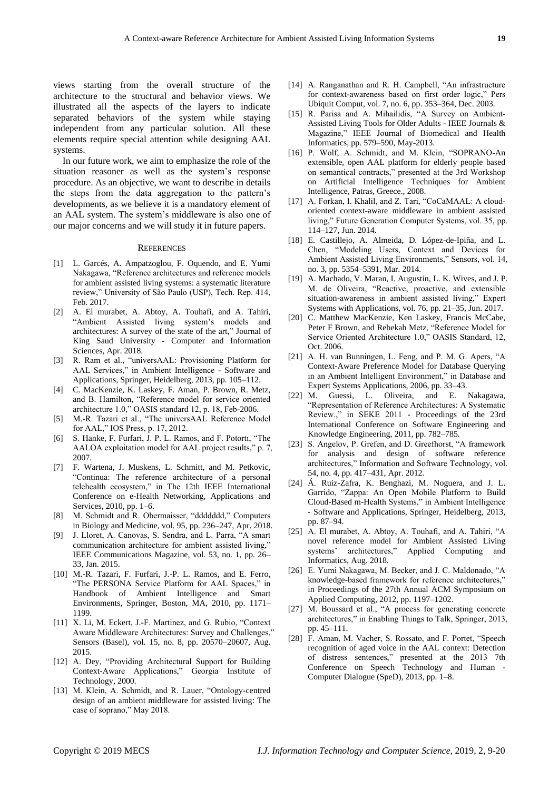views starting from the overall structure of the architecture to the structural and behavior views. We illustrated all the aspects of the layers to indicate separated behaviors of the system while staying independent from any particular solution. All these elements require special attention while designing AAL systems.

In our future work, we aim to emphasize the role of the situation reasoner as well as the system's response procedure. As an objective, we want to describe in details the steps from the data aggregation to the pattern's developments, as we believe it is a mandatory element of an AAL system. The system's middleware is also one of our major concerns and we will study it in future papers.

#### **REFERENCES**

- [1] L. Garcés, A. Ampatzoglou, F. Oquendo, and E. Yumi Nakagawa, "Reference architectures and reference models for ambient assisted living systems: a systematic literature review," University of São Paulo (USP), Tech. Rep. 414, Feb. 2017.
- [2] A. El murabet, A. Abtoy, A. Touhafi, and A. Tahiri, ―Ambient Assisted living system's models and architectures: A survey of the state of the art," Journal of King Saud University - Computer and Information Sciences, Apr. 2018.
- [3] R. Ram et al., "universAAL: Provisioning Platform for AAL Services," in Ambient Intelligence - Software and Applications, Springer, Heidelberg, 2013, pp. 105–112.
- [4] C. MacKenzie, K. Laskey, F. Aman, P. Brown, R. Metz, and B. Hamilton, "Reference model for service oriented architecture 1.0," OASIS standard 12, p. 18, Feb-2006.
- [5] M.-R. Tazari et al., "The universAAL Reference Model for AAL," IOS Press, p. 17, 2012.
- [6] S. Hanke, F. Furfari, J. P. L. Ramos, and F. Potorti, "The AALOA exploitation model for AAL project results," p. 7, 2007.
- [7] F. Wartena, J. Muskens, L. Schmitt, and M. Petkovic, ―Continua: The reference architecture of a personal telehealth ecosystem," in The 12th IEEE International Conference on e-Health Networking, Applications and Services, 2010, pp. 1–6.
- [8] M. Schmidt and R. Obermaisser, "ddddddd," Computers in Biology and Medicine, vol. 95, pp. 236–247, Apr. 2018.
- [9] J. Lloret, A. Canovas, S. Sendra, and L. Parra, "A smart communication architecture for ambient assisted living," IEEE Communications Magazine, vol. 53, no. 1, pp. 26– 33, Jan. 2015.
- [10] M.-R. Tazari, F. Furfari, J.-P. L. Ramos, and E. Ferro, "The PERSONA Service Platform for AAL Spaces," in Handbook of Ambient Intelligence and Smart Environments, Springer, Boston, MA, 2010, pp. 1171– 1199.
- [11] X. Li, M. Eckert, J.-F. Martinez, and G. Rubio, "Context" Aware Middleware Architectures: Survey and Challenges," Sensors (Basel), vol. 15, no. 8, pp. 20570–20607, Aug. 2015.
- [12] A. Dey, "Providing Architectural Support for Building Context-Aware Applications," Georgia Institute of Technology, 2000.
- [13] M. Klein, A. Schmidt, and R. Lauer, "Ontology-centred design of an ambient middleware for assisted living: The case of soprano," May 2018.
- [14] A. Ranganathan and R. H. Campbell, "An infrastructure for context-awareness based on first order logic," Pers Ubiquit Comput, vol. 7, no. 6, pp. 353–364, Dec. 2003.
- [15] R. Parisa and A. Mihailidis, "A Survey on Ambient-Assisted Living Tools for Older Adults - IEEE Journals & Magazine," IEEE Journal of Biomedical and Health Informatics, pp. 579–590, May-2013.
- [16] P. Wolf, A. Schmidt, and M. Klein, "SOPRANO-An extensible, open AAL platform for elderly people based on semantical contracts," presented at the 3rd Workshop on Artificial Intelligence Techniques for Ambient Intelligence, Patras, Greece., 2008.
- [17] A. Forkan, I. Khalil, and Z. Tari, "CoCaMAAL: A cloudoriented context-aware middleware in ambient assisted living," Future Generation Computer Systems, vol. 35, pp. 114–127, Jun. 2014.
- [18] E. Castillejo, A. Almeida, D. López-de-Ipiña, and L. Chen, "Modeling Users, Context and Devices for Ambient Assisted Living Environments," Sensors, vol. 14, no. 3, pp. 5354–5391, Mar. 2014.
- [19] A. Machado, V. Maran, I. Augustin, L. K. Wives, and J. P. M. de Oliveira, "Reactive, proactive, and extensible situation-awareness in ambient assisted living," Expert Systems with Applications, vol. 76, pp. 21–35, Jun. 2017.
- [20] C. Matthew MacKenzie, Ken Laskey, Francis McCabe, Peter F Brown, and Rebekah Metz, "Reference Model for Service Oriented Architecture 1.0," OASIS Standard, 12, Oct. 2006.
- [21] A. H. van Bunningen, L. Feng, and P. M. G. Apers, "A Context-Aware Preference Model for Database Querying in an Ambient Intelligent Environment," in Database and Expert Systems Applications, 2006, pp. 33–43.
- [22] M. Guessi, L. Oliveira, and E. Nakagawa, ―Representation of Reference Architectures: A Systematic Review.," in SEKE 2011 - Proceedings of the 23rd International Conference on Software Engineering and Knowledge Engineering, 2011, pp. 782–785.
- [23] S. Angelov, P. Grefen, and D. Greefhorst, "A framework for analysis and design of software reference architectures," Information and Software Technology, vol. 54, no. 4, pp. 417–431, Apr. 2012.
- [24] Á. Ruiz-Zafra, K. Benghazi, M. Noguera, and J. L. Garrido, "Zappa: An Open Mobile Platform to Build Cloud-Based m-Health Systems," in Ambient Intelligence - Software and Applications, Springer, Heidelberg, 2013, pp. 87–94.
- [25] A. El murabet, A. Abtoy, A. Touhafi, and A. Tahiri, "A novel reference model for Ambient Assisted Living systems' architectures," Applied Computing and Informatics, Aug. 2018.
- [26] E. Yumi Nakagawa, M. Becker, and J. C. Maldonado, "A knowledge-based framework for reference architectures," in Proceedings of the 27th Annual ACM Symposium on Applied Computing, 2012, pp. 1197–1202.
- [27] M. Boussard et al., "A process for generating concrete architectures," in Enabling Things to Talk, Springer, 2013, pp. 45–111.
- [28] F. Aman, M. Vacher, S. Rossato, and F. Portet, "Speech recognition of aged voice in the AAL context: Detection of distress sentences," presented at the 2013 7th Conference on Speech Technology and Human - Computer Dialogue (SpeD), 2013, pp. 1–8.